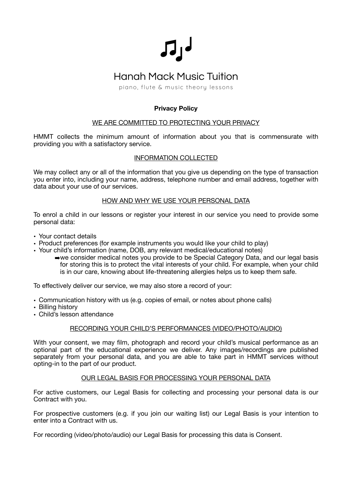

# **Hanah Mack Music Tuition**

piano, flute & music theory lessons

# **Privacy Policy**

# WE ARE COMMITTED TO PROTECTING YOUR PRIVACY

HMMT collects the minimum amount of information about you that is commensurate with providing you with a satisfactory service.

# INFORMATION COLLECTED

We may collect any or all of the information that you give us depending on the type of transaction you enter into, including your name, address, telephone number and email address, together with data about your use of our services.

# HOW AND WHY WE USE YOUR PERSONAL DATA

To enrol a child in our lessons or register your interest in our service you need to provide some personal data:

- Your contact details
- Product preferences (for example instruments you would like your child to play)
- Your child's information (name, DOB, any relevant medical/educational notes)
	- ➡we consider medical notes you provide to be Special Category Data, and our legal basis for storing this is to protect the vital interests of your child. For example, when your child is in our care, knowing about life-threatening allergies helps us to keep them safe.

To effectively deliver our service, we may also store a record of your:

- Communication history with us (e.g. copies of email, or notes about phone calls)
- Billing history
- Child's lesson attendance

# RECORDING YOUR CHILD'S PERFORMANCES (VIDEO/PHOTO/AUDIO)

With your consent, we may film, photograph and record your child's musical performance as an optional part of the educational experience we deliver. Any images/recordings are published separately from your personal data, and you are able to take part in HMMT services without opting-in to the part of our product.

# OUR LEGAL BASIS FOR PROCESSING YOUR PERSONAL DATA

For active customers, our Legal Basis for collecting and processing your personal data is our Contract with you.

For prospective customers (e.g. if you join our waiting list) our Legal Basis is your intention to enter into a Contract with us.

For recording (video/photo/audio) our Legal Basis for processing this data is Consent.